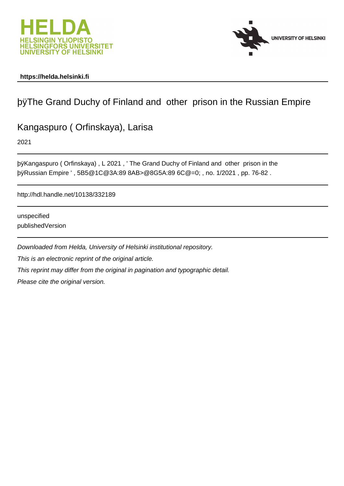



### **https://helda.helsinki.fi**

## þÿThe Grand Duchy of Finland and other prison i

### Kangaspuro ( Orfinskaya), Larisa

2021

þÿKangaspuro ( Orfinskaya) , L 2021 , ' The Grand Duchy of Finland and þÿRussian Empire ' , 5B5@1C@3A:89 8AB>@8G5A:89 6C@=0; , no. 1/2021 , pp. 76-82 .

http://hdl.handle.net/10138/332189

unspecified publishedVersion

Downloaded from Helda, University of Helsinki institutional repository. This is an electronic reprint of the original article. This reprint may differ from the original in pagination and typographic detail. Please cite the original version.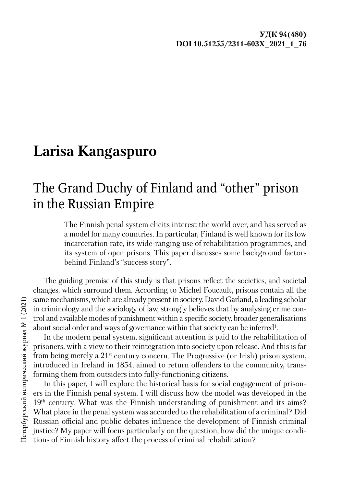## **Larisa Kangaspuro**

# The Grand Duchy of Finland and "other" prison in the Russian Empire

The Finnish penal system elicits interest the world over, and has served as a model for many countries. In particular, Finland is well known for its low incarceration rate, its wide-ranging use of rehabilitation programmes, and its system of open prisons. This paper discusses some background factors behind Finland's "success story".

The guiding premise of this study is that prisons reflect the societies, and societal changes, which surround them. According to Michel Foucault, prisons contain all the same mechanisms, which are already present in society. David Garland, a leading scholar in criminology and the sociology of law, strongly believes that by analysing crime control and available modes of punishment within a specific society, broader generalisations about social order and ways of governance within that society can be inferred<sup>1</sup>.

In the modern penal system, significant attention is paid to the rehabilitation of prisoners, with a view to their reintegration into society upon release. And this is far from being merely a 21st century concern. The Progressive (or Irish) prison system, introduced in Ireland in 1854, aimed to return offenders to the community, transforming them from outsiders into fully-functioning citizens.

In this paper, I will explore the historical basis for social engagement of prisoners in the Finnish penal system. I will discuss how the model was developed in the 19<sup>th</sup> century. What was the Finnish understanding of punishment and its aims? What place in the penal system was accorded to the rehabilitation of a criminal? Did Russian official and public debates influence the development of Finnish criminal justice? My paper will focus particularly on the question, how did the unique conditions of Finnish history affect the process of criminal rehabilitation?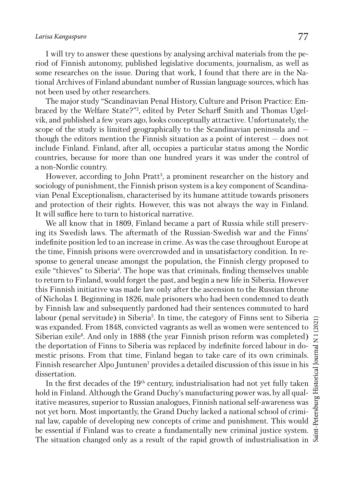### *Larisa Kangaspuro* 77

I will try to answer these questions by analysing archival materials from the period of Finnish autonomy, published legislative documents, journalism, as well as some researches on the issue. During that work, I found that there are in the National Archives of Finland abundant number of Russian language sources, which has not been used by other researchers.

The major study "Scandinavian Penal History, Culture and Prison Practice: Embraced by the Welfare State?"2 , edited by Peter Scharff Smith and Thomas Ugelvik, and published a few years ago, looks conceptually attractive. Unfortunately, the scope of the study is limited geographically to the Scandinavian peninsula and though the editors mention the Finnish situation as a point of interest — does not include Finland. Finland, after all, occupies a particular status among the Nordic countries, because for more than one hundred years it was under the control of a non-Nordic country.

However, according to John Pratt<sup>3</sup>, a prominent researcher on the history and sociology of punishment, the Finnish prison system is a key component of Scandinavian Penal Exceptionalism, characterised by its humane attitude towards prisoners and protection of their rights. However, this was not always the way in Finland. It will suffice here to turn to historical narrative.

We all know that in 1809, Finland became a part of Russia while still preserving its Swedish laws. The aftermath of the Russian-Swedish war and the Finns' indefinite position led to an increase in crime. As was the case throughout Europe at the time, Finnish prisons were overcrowded and in unsatisfactory condition. In response to general unease amongst the population, the Finnish clergy proposed to exile "thieves" to Siberia<sup>4</sup>. The hope was that criminals, finding themselves unable to return to Finland, would forget the past, and begin a new life in Siberia. However this Finnish initiative was made law only after the ascension to the Russian throne of Nicholas I. Beginning in 1826, male prisoners who had been condemned to death by Finnish law and subsequently pardoned had their sentences commuted to hard labour (penal servitude) in Siberia<sup>5</sup>. In time, the category of Finns sent to Siberia was expanded. From 1848, convicted vagrants as well as women were sentenced to Siberian exile<sup>6</sup>. And only in 1888 (the year Finnish prison reform was completed) the deportation of Finns to Siberia was replaced by indefinite forced labour in domestic prisons. From that time, Finland began to take care of its own criminals. Finnish researcher Alpo Juntunen<sup>7</sup> provides a detailed discussion of this issue in his dissertation.

In the first decades of the  $19<sup>th</sup>$  century, industrialisation had not yet fully taken hold in Finland. Although the Grand Duchy's manufacturing power was, by all qualitative measures, superior to Russian analogues, Finnish national self-awareness was not yet born. Most importantly, the Grand Duchy lacked a national school of criminal law, capable of developing new concepts of crime and punishment. This would be essential if Finland was to create a fundamentally new criminal justice system. The situation changed only as a result of the rapid growth of industrialisation in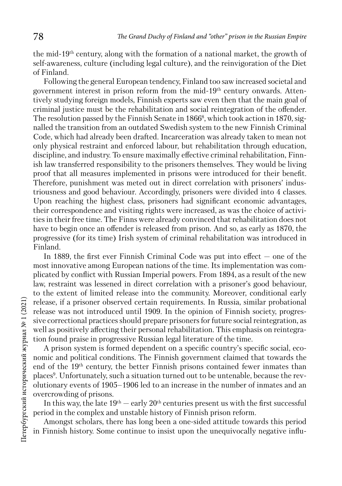the mid-19th century, along with the formation of a national market, the growth of self-awareness, culture (including legal culture), and the reinvigoration of the Diet of Finland.

Following the general European tendency, Finland too saw increased societal and government interest in prison reform from the mid-19th century onwards. Attentively studying foreign models, Finnish experts saw even then that the main goal of criminal justice must be the rehabilitation and social reintegration of the offender. The resolution passed by the Finnish Senate in  $1866^{\circ}$ , which took action in  $1870$ , signalled the transition from an outdated Swedish system to the new Finnish Criminal Code, which had already been drafted. Incarceration was already taken to mean not only physical restraint and enforced labour, but rehabilitation through education, discipline, and industry. To ensure maximally effective criminal rehabilitation, Finnish law transferred responsibility to the prisoners themselves. They would be living proof that all measures implemented in prisons were introduced for their benefit. Therefore, punishment was meted out in direct correlation with prisoners' industriousness and good behaviour. Accordingly, prisoners were divided into 4 classes. Upon reaching the highest class, prisoners had significant economic advantages, their correspondence and visiting rights were increased, as was the choice of activities in their free time. The Finns were already convinced that rehabilitation does not have to begin once an offender is released from prison. And so, as early as 1870, the progressive (for its time) Irish system of criminal rehabilitation was introduced in Finland.

In 1889, the first ever Finnish Criminal Code was put into effect — one of the most innovative among European nations of the time. Its implementation was complicated by conflict with Russian Imperial powers. From 1894, as a result of the new law, restraint was lessened in direct correlation with a prisoner's good behaviour, to the extent of limited release into the community. Moreover, conditional early release, if a prisoner observed certain requirements. In Russia, similar probational release was not introduced until 1909. In the opinion of Finnish society, progressive correctional practices should prepare prisoners for future social reintegration, as well as positively affecting their personal rehabilitation. This emphasis on reintegration found praise in progressive Russian legal literature of the time.

A prison system is formed dependent on a specific country's specific social, economic and political conditions. The Finnish government claimed that towards the end of the 19th century, the better Finnish prisons contained fewer inmates than places<sup>9</sup>. Unfortunately, such a situation turned out to be untenable, because the revolutionary events of 1905–1906 led to an increase in the number of inmates and an overcrowding of prisons.

In this way, the late  $19<sup>th</sup> -$  early  $20<sup>th</sup>$  centuries present us with the first successful period in the complex and unstable history of Finnish prison reform.

Amongst scholars, there has long been a one-sided attitude towards this period in Finnish history. Some continue to insist upon the unequivocally negative influ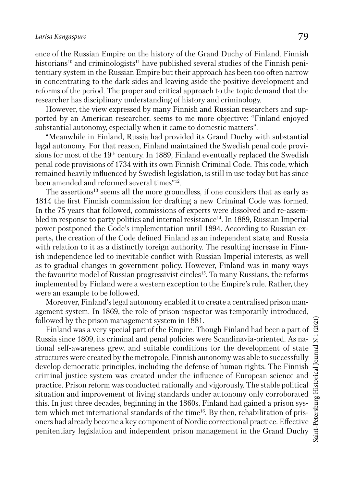ence of the Russian Empire on the history of the Grand Duchy of Finland. Finnish historians<sup>10</sup> and criminologists<sup>11</sup> have published several studies of the Finnish penitentiary system in the Russian Empire but their approach has been too often narrow in concentrating to the dark sides and leaving aside the positive development and reforms of the period. The proper and critical approach to the topic demand that the researcher has disciplinary understanding of history and criminology.

However, the view expressed by many Finnish and Russian researchers and supported by an American researcher, seems to me more objective: "Finland enjoyed substantial autonomy, especially when it came to domestic matters".

"Meanwhile in Finland, Russia had provided its Grand Duchy with substantial legal autonomy. For that reason, Finland maintained the Swedish penal code provisions for most of the 19th century. In 1889, Finland eventually replaced the Swedish penal code provisions of 1734 with its own Finnish Criminal Code. This code, which remained heavily influenced by Swedish legislation, is still in use today but has since been amended and reformed several times"12.

The assertions<sup>13</sup> seems all the more groundless, if one considers that as early as 1814 the first Finnish commission for drafting a new Criminal Code was formed. In the 75 years that followed, commissions of experts were dissolved and re-assembled in response to party politics and internal resistance<sup>14</sup>. In 1889, Russian Imperial power postponed the Code's implementation until 1894. According to Russian experts, the creation of the Code defined Finland as an independent state, and Russia with relation to it as a distinctly foreign authority. The resulting increase in Finnish independence led to inevitable conflict with Russian Imperial interests, as well as to gradual changes in government policy. However, Finland was in many ways the favourite model of Russian progressivist circles15. To many Russians, the reforms implemented by Finland were a western exception to the Empire's rule. Rather, they were an example to be followed.

Moreover, Finland's legal autonomy enabled it to create a centralised prison management system. In 1869, the role of prison inspector was temporarily introduced, followed by the prison management system in 1881.

Finland was a very special part of the Empire. Though Finland had been a part of Russia since 1809, its criminal and penal policies were Scandinavia-oriented. As national self-awareness grew, and suitable conditions for the development of state structures were created by the metropole, Finnish autonomy was able to successfully develop democratic principles, including the defense of human rights. The Finnish criminal justice system was created under the influence of European science and practice. Prison reform was conducted rationally and vigorously. The stable political situation and improvement of living standards under autonomy only corroborated this. In just three decades, beginning in the 1860s, Finland had gained a prison system which met international standards of the time<sup>16</sup>. By then, rehabilitation of prisoners had already become a key component of Nordic correctional practice. Effective penitentiary legislation and independent prison management in the Grand Duchy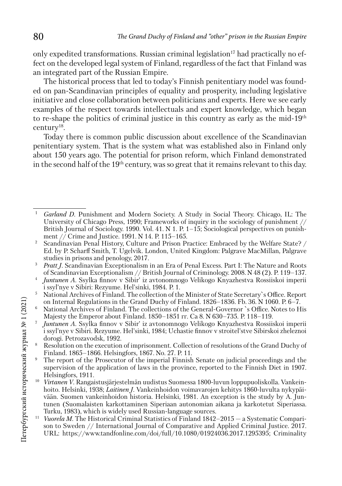only expedited transformations. Russian criminal legislation<sup>17</sup> had practically no effect on the developed legal system of Finland, regardless of the fact that Finland was an integrated part of the Russian Empire.

The historical process that led to today's Finnish penitentiary model was founded on pan-Scandinavian principles of equality and prosperity, including legislative initiative and close collaboration between politicians and experts. Here we see early examples of the respect towards intellectuals and expert knowledge, which began to re-shape the politics of criminal justice in this country as early as the mid-19th century18.

Today there is common public discussion about excellence of the Scandinavian penitentiary system. That is the system what was established also in Finland only about 150 years ago. The potential for prison reform, which Finland demonstrated in the second half of the 19<sup>th</sup> century, was so great that it remains relevant to this day.

- <sup>4</sup> Juntunen A. Ssylka finnov v Sibir<sup>i</sup> iz avtonomnogo Velikogo Knyazhestva Rossiiskoi imperii i ssyl'nye v Sibiri: Rezyume. Hel'sinki, 1984. P. 1.
- <sup>5</sup> National Archives of Finland. The collection of the Minister of State Secretary`s Office. Report on Internal Regulations in the Grand Duchy of Finland. 1826–1836. Fb. 36. N 1060. P. 6–7.
- <sup>6</sup> National Archives of Finland. The collections of the General-Governor `s Office. Notes to His Majesty the Emperor about Finland. 1850–1851 гг. Са 8. N 630–735. P. 118–119.
- <sup>7</sup> *Juntunen A.* Ssylka finnov v Sibir' iz avtonomnogo Velikogo Knyazhestva Rossiiskoi imperii i ssyl'nye v Sibiri. Rezyume. Hel'sinki, 1984; Uchastie finnov v stroitel'stve Sibirskoi zheleznoi dorogi. Petrozavodsk, 1992.
- Resolution on the execution of imprisonment. Collection of resolutions of the Grand Duchy of Finland. 1865–1866. Helsingfors, 1867. No. 27. P. 11.
- The report of the Prosecutor of the imperial Finnish Senate on judicial proceedings and the supervision of the application of laws in the province, reported to the Finnish Diet in 1907. Helsingfors, 1911.
- Virtanen V. Rangaistusjärjestelmän uudistus Suomessa 1800-luvun loppupuoliskolla. Vankeinhoito. Helsinki, 1938; *Laitinen J*. Vankeinhoidon voimavarojen kehitys 1860-luvulta nykypäivään. Suomen vankeinhoidon historia. Helsinki, 1981. An exception is the study by A. Juntunen (Suomalaisten karkottaminen Siperiaan autonomian aikana ja karkotetut Siperiassa. Turku, 1983), which is widely used Russian-language sources.
- *Vuorela M.* The Historical Criminal Statistics of Finland 1842–2015 a Systematic Comparison to Sweden // International Journal of Comparative and Applied Criminal Justice. 2017. URL: https://www.tandfonline.com/doi/full/10.1080/01924036.2017.1295395; Criminality

<sup>&</sup>lt;sup>1</sup> *Garland D.* Punishment and Modern Society. A Study in Social Theory. Chicago, IL: The University of Chicago Press, 1990; Frameworks of inquiry in the sociology of punishment // British Journal of Sociology. 1990. Vol. 41. N 1. P.  $1-\overline{15}$ ; Sociological perspectives on punish-<br>ment // Crime and Justice. 1991. N 14. P. 115–165.

<sup>&</sup>lt;sup>2</sup> Scandinavian Penal History, Culture and Prison Practice: Embraced by the Welfare State? / Ed. by P. Scharff Smith, T. Ugelvik. London, United Kingdom: Palgrave MacMillan, Palgrave

<sup>&</sup>lt;sup>3</sup> *Pratt J.* Scandinavian Exceptionalism in an Era of Penal Excess. Part I: The Nature and Roots of Scandinavian Exceptionalism // British Journal of Criminology. 2008. N 48 (2). P. 119–137.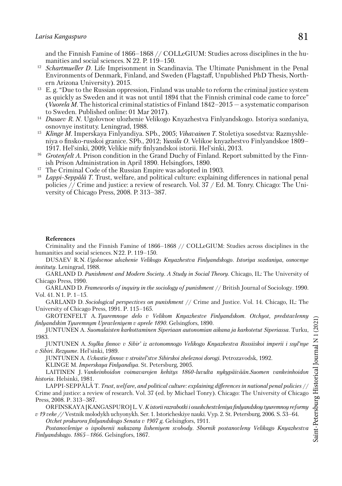and the Finnish Famine of 1866–1868 // COLLeGIUM: Studies across disciplines in the humanities and social sciences. N 22. P. 119–150.

- <sup>12</sup> *Schartmueller D*. Life Imprisonment in Scandinavia. The Ultimate Punishment in the Penal Environments of Denmark, Finland, and Sweden (Flagstaff, Unpublished PhD Thesis, Northern Arizona University). 2015.
- <sup>13</sup> E. g. "Due to the Russian oppression, Finland was unable to reform the criminal justice system as quickly as Sweden and it was not until 1894 that the Finnish criminal code came to force" (*Vuorela M*. The historical criminal statistics of Finland 1842–2015 — a systematic comparison to Sweden. Published online: 01 Mar 2017).
- <sup>14</sup> *Dusaev R. N*. Ugolovnoe ulozhenie Velikogo Knyazhestva Finlyandskogo. Istoriya sozdaniya,
- <sup>15</sup> Klinge M. Imperskaya Finlyandiya. SPb., 2005; *Vihavainen T.* Stoletiya sosedstva: Razmyshleniya o finsko-russkoi granice. SPb., 2012; *Yussila O*. Velikoe knyazhestvo Finlyandskoe 1809– 1917. Hel'sinki, 2009; Velikie mify finlyandskoi istorii. Hel'sinki, 2013.
- <sup>16</sup> *Grotenfelt A.* Prison condition in the Grand Duchy of Finland. Report submitted by the Finnish Prison Administration in April 1890. Helsingfors, 1890.<br><sup>17</sup> The Criminal Code of the Russian Empire was adopted in 1903.
- 
- <sup>18</sup> Lappi-Seppälä T. Trust, welfare, and political culture: explaining differences in national penal policies // Crime and justice: a review of research. Vol. 37 / Ed. M. Tonry. Chicago: The University of Chicago Press, 2008. P. 313–387.

#### **References**

Criminality and the Finnish Famine of 1866–1868 // COLLeGIUM: Studies across disciplines in the humanities and social sciences. N22. P. 119–150.

DUSAEV R.N. *Ugolovnoe ulozhenie Velikogo Knyazhestva Finlyandskogo. Istoriya sozdaniya, osnovnye instituty*. Leningrad, 1988.

GARLAND D. *Punishment and Modern Society. A Study in Social Theory*. Chicago, IL: The University of Chicago Press, 1990.

GARLAND D. *Frameworks of inquiry in the sociology of punishment* // British Journal of Sociology. 1990. Vol. 41. N1. P. 1–15.

GARLAND D. *Sociological perspectives on punishment* // Crime and Justice. Vol. 14. Chicago, IL: The University of Chicago Press, 1991. P. 115–165.

GROTENFELT A. *Tyuremnoye delo v Velikom Knyazhestve Finlyandskom. Otchyot, predstavlenny finlyandskim Tyuremnym Upravleniyem v aprele 1890*. Gelsingfors, 1890.

JUNTUNEN A. *Suomalaisten karkottaminen Siperiaan autonomian aikana ja karkotetut Siperiassa*. Turku, 1983.

JUNTUNEN A. *Ssylka finnov v Sibir' iz avtonomnogo Velikogo Knyazhestva Rossiiskoi imperii i ssyl'nye v Sibiri. Rezyume*. Hel'sinki, 1989.

JUNTUNEN A. *Uchastie finnov v stroitel'stve Sibirskoi zheleznoi dorogi*. Petrozavodsk, 1992.

KLINGE M. *Imperskaya Finlyandiya*. St. Petersburg, 2005.

LAITINEN J. *Vankeinhoidon voimavarojen kehitys 1860-luvulta nykypäivään.Suomen vankeinhoidon historia*. Helsinki, 1981.

LAPPI-SEPPÄLÄ T. *Trust, welfare, and political culture: explaining differences in national penal policies* // Crime and justice: a review of research. Vol. 37 (ed. by Michael Tonry). Chicago: The University of Chicago Press, 2008. P. 313–387.

ORFINSKAYA [KANGASPURO] L. V. *K istorii razrabotki i osushchestvleniya finlyandskoy tyuremnoy reformy v 19 veke //* Vestnik molodykh uchyonykh. Ser. 1. Istoricheskiye nauki. Vyp. 2. St. Petersburg, 2006. S. 53–64.

*Otchet prokurora finlyandskogo Senata v 1907 g.* Gelsingfors, 1911.

*Postanovleniye o ispolnenii nakazany lisheniyem svobody. Sbornik postanovleny Velikago Knyazhestva Finlyandskago. 1865–1866*. Gelsingfors, 1867.